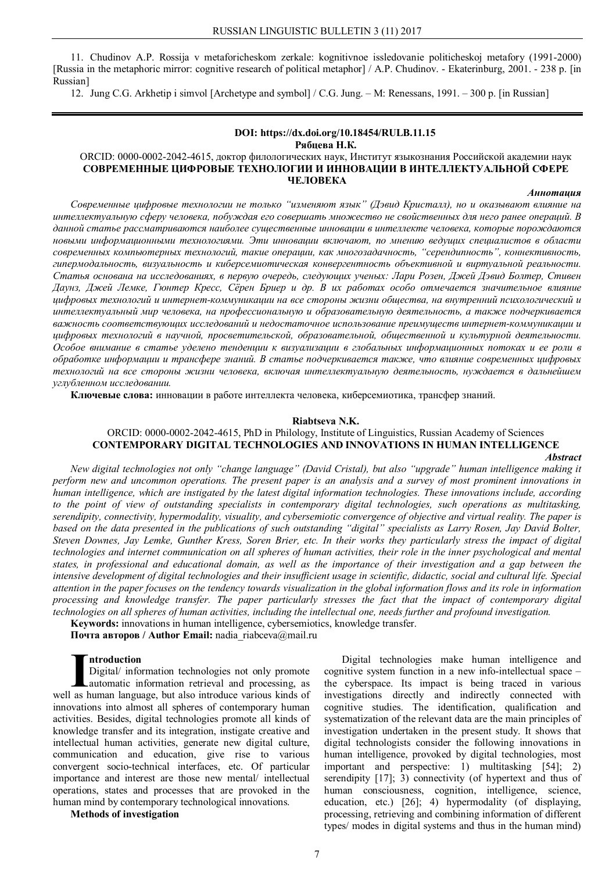11. Chudinov A.P. Rossija v metaforicheskom zerkale: kognitivnoe issledovanie politicheskoj metafory (1991-2000) [Russia in the metaphoric mirror: cognitive research of political metaphor] / A.P. Chudinov. - Ekaterinburg, 2001. - 238 p. [in Russian]

12. Jung C.G. Arkhetip i simvol [Archetype and symbol] / C.G. Jung. – M: Renessans, 1991. – 300 p. [in Russian]

#### **DOI: https://dx.doi.org/10.18454/RULB.11.15 Рябцева Н.К.**

### ORCID: 0000-0002-2042-4615, доктор филологических наук, Институт языкознания Российской академии наук **СОВРЕМЕННЫЕ ЦИФРОВЫЕ ТЕХНОЛОГИИ И ИННОВАЦИИ В ИНТЕЛЛЕКТУАЛЬНОЙ СФЕРЕ ЧЕЛОВЕКА**

#### *Аннотация*

*Современные цифровые технологии не только "изменяют язык" (Дэвид Кристалл), но и оказывают влияние на интеллектуальную сферу человека, побуждая его совершать множество не свойственных для него ранее операций. В данной статье рассматриваются наиболее существенные инновации в интеллекте человека, которые порождаются новыми информационными технологиями. Эти инновации включают, по мнению ведущих специалистов в области современных компьютерных технологий, такие операции, как многозадачность, "серендипность", коннективность, гипермодальность, визуальность и киберсемиотическая конвергентность объективной и виртуальной реальности. Статья основана на исследованиях, в первую очередь, следующих ученых: Лари Розен, Джей Дэвид Болтер, Стивен Даунз, Джей Лемке, Гюнтер Кресс, Сёрен Бриер и др. В их работах особо отмечается значительное влияние цифровых технологий и интернет-коммуникации на все стороны жизни общества, на внутренний психологический и интеллектуальный мир человека, на профессиональную и образовательную деятельность, а также подчеркивается важность соответствующих исследований и недостаточное использование преимуществ интернет-коммуникации и цифровых технологий в научной, просветительской, образовательной, общественной и культурной деятельности. Особое внимание в статье уделено тенденции к визуализации в глобальных информационных потоках и ее роли в обработке информации и трансфере знаний. В статье подчеркивается также, что влияние современных цифровых технологий на все стороны жизни человека, включая интеллектуальную деятельность, нуждается в дальнейшем углубленном исследовании.*

**Ключевые слова:** инновации в работе интеллекта человека, киберсемиотика, трансфер знаний.

#### **Riabtseva N.K.**

# ORCID: 0000-0002-2042-4615, PhD in Philology, Institute of Linguistics, Russian Academy of Sciences **CONTEMPORARY DIGITAL TECHNOLOGIES AND INNOVATIONS IN HUMAN INTELLIGENCE**

#### *Abstract*

New digital technologies not only "change language" (David Cristal), but also "upgrade" human intelligence making it perform new and uncommon operations. The present paper is an analysis and a survey of most prominent innovations in human intelligence, which are instigated by the latest digital information technologies. These innovations include, according to the point of view of outstanding specialists in contemporary digital technologies, such operations as multitasking, serendipity, connectivity, hypermodality, visuality, and cybersemiotic convergence of objective and virtual reality. The paper is based on the data presented in the publications of such outstanding "digital" specialists as Larry Rosen, Jay David Bolter, Steven Downes, Jay Lemke, Gunther Kress, Soren Brier, etc. In their works they particularly stress the impact of digital technologies and internet communication on all spheres of human activities, their role in the inner psychological and mental states, in professional and educational domain, as well as the importance of their investigation and a gap between the intensive development of digital technologies and their insufficient usage in scientific, didactic, social and cultural life. Special attention in the paper focuses on the tendency towards visualization in the global information flows and its role in information processing and knowledge transfer. The paper particularly stresses the fact that the impact of contemporary digital technologies on all spheres of human activities, including the intellectual one, needs further and profound investigation.

**Keywords:** innovations in human intelligence, cybersemiotics, knowledge transfer.

**Почта авторов / Author Email:** nadia\_riabceva@mail.ru

### **ntroduction**

Digital/ information technologies not only promote automatic information retrieval and processing, as **I Introduction**<br>Digital/ information technologies not only promote<br>automatic information retrieval and processing, as<br>well as human language, but also introduce various kinds of innovations into almost all spheres of contemporary human activities. Besides, digital technologies promote all kinds of knowledge transfer and its integration, instigate creative and intellectual human activities, generate new digital culture, communication and education, give rise to various convergent socio-technical interfaces, etc. Of particular importance and interest are those new mental/ intellectual operations, states and processes that are provoked in the human mind by contemporary technological innovations.

### **Methods of investigation**

Digital technologies make human intelligence and cognitive system function in a new info-intellectual space – the cyberspace. Its impact is being traced in various investigations directly and indirectly connected with cognitive studies. The identification, qualification and systematization of the relevant data are the main principles of investigation undertaken in the present study. It shows that digital technologists consider the following innovations in human intelligence, provoked by digital technologies, most important and perspective: 1) multitasking [54]; 2) serendipity [17]; 3) connectivity (of hypertext and thus of human consciousness, cognition, intelligence, science, education, etc.) [26]; 4) hypermodality (of displaying, processing, retrieving and combining information of different types/ modes in digital systems and thus in the human mind)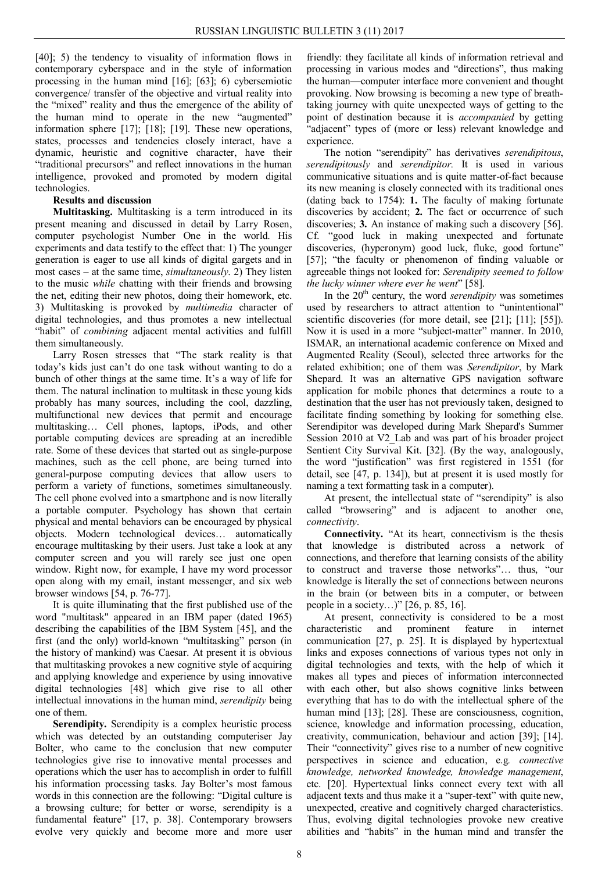[40]; 5) the tendency to visuality of information flows in contemporary cyberspace and in the style of information processing in the human mind [16]; [63]; 6) cybersemiotic convergence/ transfer of the objective and virtual reality into the "mixed" reality and thus the emergence of the ability of the human mind to operate in the new "augmented" information sphere [17]; [18]; [19]. These new operations, states, processes and tendencies closely interact, have a dynamic, heuristic and cognitive character, have their "traditional precursors" and reflect innovations in the human intelligence, provoked and promoted by modern digital technologies.

# **Results and discussion**

**Multitasking.** Multitasking is a term introduced in its present meaning and discussed in detail by Larry Rosen, computer psychologist Number One in the world. His experiments and data testify to the effect that: 1) The younger generation is eager to use all kinds of digital gargets and in most cases – at the same time, *simultaneously*. 2) They listen to the music *while* chatting with their friends and browsing the net, editing their new photos, doing their homework, etc. 3) Multitasking is provoked by *multimedia* character of digital technologies, and thus promotes a new intellectual "habit" of *combining* adjacent mental activities and fulfill them simultaneously.

Larry Rosen stresses that "The stark reality is that today's kids just can't do one task without wanting to do a bunch of other things at the same time. It's a way of life for them. The natural inclination to multitask in these young kids probably has many sources, including the cool, dazzling, multifunctional new devices that permit and encourage multitasking… Cell phones, laptops, iPods, and other portable computing devices are spreading at an incredible rate. Some of these devices that started out as single-purpose machines, such as the cell phone, are being turned into general-purpose computing devices that allow users to perform a variety of functions, sometimes simultaneously. The cell phone evolved into a smartphone and is now literally a portable computer. Psychology has shown that certain physical and mental behaviors can be encouraged by physical objects. Modern technological devices… automatically encourage multitasking by their users. Just take a look at any computer screen and you will rarely see just one open window. Right now, for example, I have my word processor open along with my email, instant messenger, and six web browser windows [54, p. 76-77].

It is quite illuminating that the first published use of the word "multitask" appeared in an IBM paper (dated 1965) describing the capabilities of the IBM System [45], and the first (and the only) world-known "multitasking" person (in the history of mankind) was Caesar. At present it is obvious that multitasking provokes a new cognitive style of acquiring and applying knowledge and experience by using innovative digital technologies [48] which give rise to all other intellectual innovations in the human mind, *serendipity* being one of them.

**Serendipity.** Serendipity is a complex heuristic process which was detected by an outstanding computeriser Jay Bolter, who came to the conclusion that new computer technologies give rise to innovative mental processes and operations which the user has to accomplish in order to fulfill his information processing tasks. Jay Bolter's most famous words in this connection are the following: "Digital culture is a browsing culture; for better or worse, serendipity is a fundamental feature" [17, p. 38]. Contemporary browsers evolve very quickly and become more and more user

friendly: they facilitate all kinds of information retrieval and processing in various modes and "directions", thus making the human—computer interface more convenient and thought provoking. Now browsing is becoming a new type of breathtaking journey with quite unexpected ways of getting to the point of destination because it is *accompanied* by getting "adjacent" types of (more or less) relevant knowledge and experience.

The notion "serendipity" has derivatives *serendipitous*, *serendipitously* and *serendipitor.* It is used in various communicative situations and is quite matter-of-fact because its new meaning is closely connected with its traditional ones (dating back to 1754): **1.** The faculty of making fortunate discoveries by accident; **2.** The fact or occurrence of such discoveries; **3.** An instance of making such a discovery [56]. Cf. "good luck in making unexpected and fortunate discoveries, (hyperonym) good luck, fluke, good fortune" [57]; "the faculty or phenomenon of finding valuable or agreeable things not looked for: *Serendipity seemed to follow the lucky winner where ever he went*" [58].

In the 20th century, the word *serendipity* was sometimes used by researchers to attract attention to "unintentional" scientific discoveries (for more detail, see [21]; [11]; [55]). Now it is used in a more "subject-matter" manner. In 2010, ISMAR, an international academic conference on Mixed and Augmented Reality (Seoul), selected three artworks for the related exhibition; one of them was *Serendipitor*, by Mark Shepard. It was an alternative GPS navigation software application for mobile phones that determines a route to a destination that the user has not previously taken, designed to facilitate finding something by looking for something else. Serendipitor was developed during Mark Shepard's Summer Session 2010 at V2\_Lab and was part of his broader project Sentient City Survival Kit. [32]. (By the way, analogously, the word "justification" was first registered in 1551 (for detail, see [47, p. 134]), but at present it is used mostly for naming a text formatting task in a computer).

At present, the intellectual state of "serendipity" is also called "browsering" and is adjacent to another one, *connectivity*.

**Connectivity.** "At its heart, connectivism is the thesis that knowledge is distributed across a network of connections, and therefore that learning consists of the ability to construct and traverse those networks"… thus, "our knowledge is literally the set of connections between neurons in the brain (or between bits in a computer, or between people in a society…)" [26, p. 85, 16].

At present, connectivity is considered to be a most characteristic and prominent feature in internet communication [27, p. 25]. It is displayed by hypertextual links and exposes connections of various types not only in digital technologies and texts, with the help of which it makes all types and pieces of information interconnected with each other, but also shows cognitive links between everything that has to do with the intellectual sphere of the human mind [13]; [28]. These are consciousness, cognition, science, knowledge and information processing, education, creativity, communication, behaviour and action [39]; [14]. Their "connectivity" gives rise to a number of new cognitive perspectives in science and education, e.g*. connective knowledge, networked knowledge, knowledge management*, etc. [20]. Hypertextual links connect every text with all adjacent texts and thus make it a "super-text" with quite new, unexpected, creative and cognitively charged characteristics. Thus, evolving digital technologies provoke new creative abilities and "habits" in the human mind and transfer the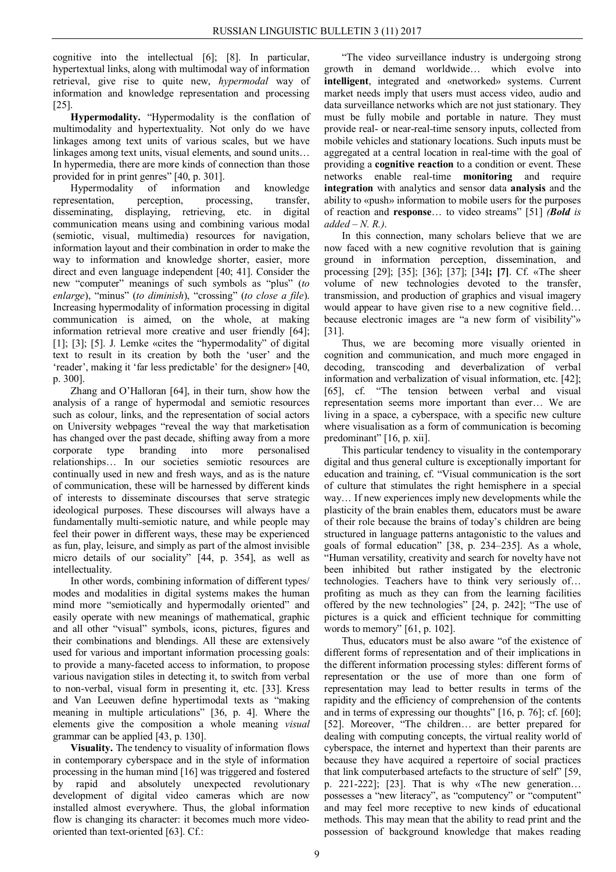cognitive into the intellectual [6]; [8]. In particular, hypertextual links, along with multimodal way of information retrieval, give rise to quite new, *hypermodal* way of information and knowledge representation and processing [25].

**Hypermodality.** "Hypermodality is the conflation of multimodality and hypertextuality. Not only do we have linkages among text units of various scales, but we have linkages among text units, visual elements, and sound units… In hypermedia, there are more kinds of connection than those provided for in print genres" [40, p. 301].

Hypermodality of information and knowledge representation, perception, processing, transfer, disseminating, displaying, retrieving, etc. in digital communication means using and combining various modal (semiotic, visual, multimedia) resources for navigation, information layout and their combination in order to make the way to information and knowledge shorter, easier, more direct and even language independent [40; 41]. Consider the new "computer" meanings of such symbols as "plus" (*to enlarge*), "minus" (*to diminish*), "crossing" (*to close a file*). Increasing hypermodality of information processing in digital communication is aimed, on the whole, at making information retrieval more creative and user friendly [64]; [1]; [3]; [5]. J. Lemke «cites the "hypermodality" of digital text to result in its creation by both the 'user' and the 'reader', making it 'far less predictable' for the designer» [40, p. 300].

Zhang and O'Halloran [64], in their turn, show how the analysis of a range of hypermodal and semiotic resources such as colour, links, and the representation of social actors on University webpages "reveal the way that marketisation has changed over the past decade, shifting away from a more corporate type branding into more personalised relationships… In our societies semiotic resources are continually used in new and fresh ways, and as is the nature of communication, these will be harnessed by different kinds of interests to disseminate discourses that serve strategic ideological purposes. These discourses will always have a fundamentally multi-semiotic nature, and while people may feel their power in different ways, these may be experienced as fun, play, leisure, and simply as part of the almost invisible micro details of our sociality" [44, p. 354], as well as intellectuality.

In other words, combining information of different types/ modes and modalities in digital systems makes the human mind more "semiotically and hypermodally oriented" and easily operate with new meanings of mathematical, graphic and all other "visual" symbols, icons, pictures, figures and their combinations and blendings. All these are extensively used for various and important information processing goals: to provide a many-faceted access to information, to propose various navigation stiles in detecting it, to switch from verbal to non-verbal, visual form in presenting it, etc. [33]. Kress and Van Leeuwen define hypertimodal texts as "making meaning in multiple articulations" [36, p. 4]. Where the elements give the composition a whole meaning *visual* grammar can be applied [43, p. 130].

**Visuality.** The tendency to visuality of information flows in contemporary cyberspace and in the style of information processing in the human mind [16] was triggered and fostered by rapid and absolutely unexpected revolutionary development of digital video cameras which are now installed almost everywhere. Thus, the global information flow is changing its character: it becomes much more videooriented than text-oriented [63]. Cf.:

"The video surveillance industry is undergoing strong growth in demand worldwide… which evolve into **intelligent**, integrated and «networked» systems. Current market needs imply that users must access video, audio and data surveillance networks which are not just stationary. They must be fully mobile and portable in nature. They must provide real- or near-real-time sensory inputs, collected from mobile vehicles and stationary locations. Such inputs must be aggregated at a central location in real-time with the goal of providing a **cognitive reaction** to a condition or event. These networks enable real-time **monitoring** and require **integration** with analytics and sensor data **analysis** and the ability to «push» information to mobile users for the purposes of reaction and **response**… to video streams" [51] *(Bold is added – N. R.)*.

In this connection, many scholars believe that we are now faced with a new cognitive revolution that is gaining ground in information perception, dissemination, and processing [29]; [35]; [36]; [37]; [34**]; [7]**. Cf. «The sheer volume of new technologies devoted to the transfer, transmission, and production of graphics and visual imagery would appear to have given rise to a new cognitive field... because electronic images are "a new form of visibility"» [31].

Thus, we are becoming more visually oriented in cognition and communication, and much more engaged in decoding, transcoding and deverbalization of verbal information and verbalization of visual information, etc. [42]; [65], cf. "The tension between verbal and visual representation seems more important than ever… We are living in a space, a cyberspace, with a specific new culture where visualisation as a form of communication is becoming predominant" [16, p. xii].

This particular tendency to visuality in the contemporary digital and thus general culture is exceptionally important for education and training, cf. "Visual communication is the sort of culture that stimulates the right hemisphere in a special way… If new experiences imply new developments while the plasticity of the brain enables them, educators must be aware of their role because the brains of today's children are being structured in language patterns antagonistic to the values and goals of formal education" [38, р. 234–235]. As a whole, "Human versatility, creativity and search for novelty have not been inhibited but rather instigated by the electronic technologies. Teachers have to think very seriously of… profiting as much as they can from the learning facilities offered by the new technologies" [24, p. 242]; "The use of pictures is a quick and efficient technique for committing words to memory" [61, p. 102].

Thus, educators must be also aware "of the existence of different forms of representation and of their implications in the different information processing styles: different forms of representation or the use of more than one form of representation may lead to better results in terms of the rapidity and the efficiency of comprehension of the contents and in terms of expressing our thoughts" [16, р. 76]; cf. [60]; [52]. Moreover, "The children… are better prepared for dealing with computing concepts, the virtual reality world of cyberspace, the internet and hypertext than their parents are because they have acquired a repertoire of social practices that link computerbased artefacts to the structure of self" [59, р. 221-222]; [23]. That is why «The new generation… possesses a "new literacy", as "computency" or "computent" and may feel more receptive to new kinds of educational methods. This may mean that the ability to read print and the possession of background knowledge that makes reading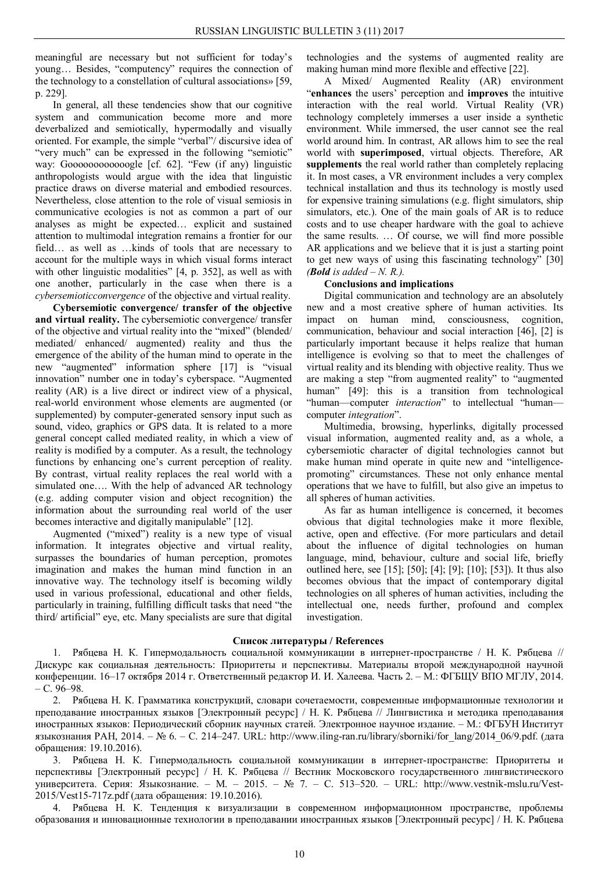meaningful are necessary but not sufficient for today's young… Besides, "computency" requires the connection of the technology to a constellation of cultural associations» [59, р. 229].

In general, all these tendencies show that our cognitive system and communication become more and more deverbalized and semiotically, hypermodally and visually oriented. For example, the simple "verbal"/ discursive idea of "very much" can be expressed in the following "semiotic" way: Goooooooooooogle [cf. 62]. "Few (if any) linguistic anthropologists would argue with the idea that linguistic practice draws on diverse material and embodied resources. Nevertheless, close attention to the role of visual semiosis in communicative ecologies is not as common a part of our analyses as might be expected… explicit and sustained attention to multimodal integration remains a frontier for our field… as well as …kinds of tools that are necessary to account for the multiple ways in which visual forms interact with other linguistic modalities" [4, p. 352], as well as with one another, particularly in the case when there is a *cybersemioticconvergence* of the objective and virtual reality.

**Cybersemiotic convergence/ transfer of the objective and virtual reality.** The cybersemiotic convergence/ transfer of the objective and virtual reality into the "mixed" (blended/ mediated/ enhanced/ augmented) reality and thus the emergence of the ability of the human mind to operate in the new "augmented" information sphere [17] is "visual innovation" number one in today's cyberspace. "Augmented reality (AR) is a live direct or indirect view of a physical, real-world environment whose elements are augmented (or supplemented) by computer-generated sensory input such as sound, video, graphics or GPS data. It is related to a more general concept called mediated reality, in which a view of reality is modified by a computer. As a result, the technology functions by enhancing one's current perception of reality. By contrast, virtual reality replaces the real world with a simulated one…. With the help of advanced AR technology (e.g. adding computer vision and object recognition) the information about the surrounding real world of the user becomes interactive and digitally manipulable" [12].

Augmented ("mixed") reality is a new type of visual information. It integrates objective and virtual reality, surpasses the boundaries of human perception, promotes imagination and makes the human mind function in an innovative way. The technology itself is becoming wildly used in various professional, educational and other fields, particularly in training, fulfilling difficult tasks that need "the third/ artificial" eye, etc. Many specialists are sure that digital

technologies and the systems of augmented reality are making human mind more flexible and effective [22].

A Mixed/ Augmented Reality (AR) environment "**enhances** the users' perception and **improves** the intuitive interaction with the real world. Virtual Reality (VR) technology completely immerses a user inside a synthetic environment. While immersed, the user cannot see the real world around him. In contrast, AR allows him to see the real world with **superimposed**, virtual objects. Therefore, AR **supplements** the real world rather than completely replacing it. In most cases, a VR environment includes a very complex technical installation and thus its technology is mostly used for expensive training simulations (e.g. flight simulators, ship simulators, etc.). One of the main goals of AR is to reduce costs and to use cheaper hardware with the goal to achieve the same results. … Of course, we will find more possible AR applications and we believe that it is just a starting point to get new ways of using this fascinating technology" [30] *(Bold is added – N. R.).*

# **Conclusions and implications**

Digital communication and technology are an absolutely new and a most creative sphere of human activities. Its impact on human mind, consciousness, cognition, communication, behaviour and social interaction [46], [2] is particularly important because it helps realize that human intelligence is evolving so that to meet the challenges of virtual reality and its blending with objective reality. Thus we are making a step "from augmented reality" to "augmented human" [49]: this is a transition from technological "human—computer *interaction*" to intellectual "human computer *integration*".

Multimedia, browsing, hyperlinks, digitally processed visual information, augmented reality and, as a whole, a cybersemiotic character of digital technologies cannot but make human mind operate in quite new and "intelligencepromoting" circumstances. These not only enhance mental operations that we have to fulfill, but also give an impetus to all spheres of human activities.

As far as human intelligence is concerned, it becomes obvious that digital technologies make it more flexible, active, open and effective. (For more particulars and detail about the influence of digital technologies on human language, mind, behaviour, culture and social life, briefly outlined here, see [15]; [50]; [4]; [9]; [10]; [53]). It thus also becomes obvious that the impact of contemporary digital technologies on all spheres of human activities, including the intellectual one, needs further, profound and complex investigation.

## **Список литературы / References**

1. Рябцева Н. К. Гипермодальность социальной коммуникации в интернет-пространстве / Н. К. Рябцева // Дискурс как социальная деятельность: Приоритеты и перспективы. Материалы второй международной научной конференции. 16–17 октября 2014 г. Ответственный редактор И. И. Халеева. Часть 2. – М.: ФГБЩУ ВПО МГЛУ, 2014.  $- C. 96 - 98.$ 

2. Рябцева Н. К. Грамматика конструкций, словари сочетаемости, современные информационные технологии и преподавание иностранных языков [Электронный ресурс] / Н. К. Рябцева // Лингвистика и методика преподавания иностранных языков: Периодический сборник научных статей. Электронное научное издание. – М.: ФГБУН Институт языкознания РАН, 2014. – № 6. – С. 214–247. URL: http://www.iling-ran.ru/library/sborniki/for\_lang/2014\_06/9.pdf. (дата обращения: 19.10.2016).

3. Рябцева Н. К. Гипермодальность социальной коммуникации в интернет-пространстве: Приоритеты и перспективы [Электронный ресурс] / Н. К. Рябцева // Вестник Московского государственного лингвистического университета. Серия: Языкознание. – М. – 2015. – № 7. – C. 513–520. – URL: http://www.vestnik-mslu.ru/Vest-2015/Vest15-717z.pdf (дата обращения: 19.10.2016).

4. Рябцева Н. К. Тенденция к визуализации в современном информационном пространстве, проблемы образования и инновационные технологии в преподавании иностранных языков [Электронный ресурс] / Н. К. Рябцева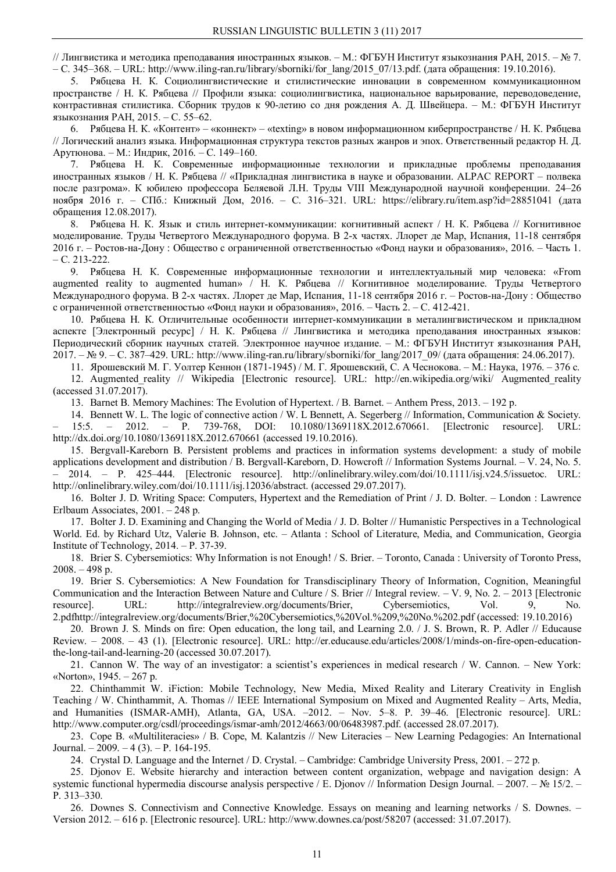// Лингвистика и методика преподавания иностранных языков. – М.: ФГБУН Институт языкознания РАН, 2015. – № 7. – С. 345–368. – URL: http://www.iling-ran.ru/library/sborniki/for  $lang/2015$  07/13.pdf. (дата обращения: 19.10.2016).

5. Рябцева Н. К. Социолингвистические и стилистические инновации в современном коммуникационном пространстве / Н. К. Рябцева // Профили языка: социолингвистика, национальное варьирование, переводоведение, контрастивная стилистика. Сборник трудов к 90-летию со дня рождения А. Д. Швейцера. – М.: ФГБУН Институт языкознания РАН, 2015. – C. 55–62.

6. Рябцева Н. К. «Контент» – «коннект» – «texting» в новом информационном киберпространстве / Н. К. Рябцева // Логический анализ языка. Информационная структура текстов разных жанров и эпох. Ответственный редактор Н. Д. Арутюнова. – М.: Индрик, 2016. – C. 149–160.

7. Рябцева Н. К. Современные информационные технологии и прикладные проблемы преподавания иностранных языков / Н. К. Рябцева // «Прикладная лингвистика в науке и образовании. ALPAC REPORT – полвека после разгрома». К юбилею профессора Беляевой Л.Н. Труды VIII Международной научной конференции. 24–26 ноября 2016 г. – СПб.: Книжный Дом, 2016. – C. 316–321. URL: https://elibrary.ru/item.asp?id=28851041 (дата обращения 12.08.2017).

8. Рябцева Н. К. Язык и стиль интернет-коммуникации: когнитивный аспект / Н. К. Рябцева // Когнитивное моделирование. Труды Четвертого Международного форума. В 2-х частях. Ллорет де Мар, Испания, 11-18 сентября 2016 г. – Ростов-на-Дону : Общество с ограниченной ответственностью «Фонд науки и образования», 2016. – Часть 1. – С. 213-222.

9. Рябцева Н. К. Cовременные информационные технологии и интеллектуальный мир человека: «From augmented reality to augmented human» / Н. К. Рябцева // Когнитивное моделирование. Труды Четвертого Международного форума. В 2-х частях. Ллорет де Мар, Испания, 11-18 сентября 2016 г. – Ростов-на-Дону : Общество с ограниченной ответственностью «Фонд науки и образования», 2016. – Часть 2. – С. 412-421.

10. Рябцева Н. К. Отличительные особенности интернет-коммуникации в металингвистическом и прикладном аспекте [Электронный ресурс] / Н. К. Рябцева // Лингвистика и методика преподавания иностранных языков: Периодический сборник научных статей. Электронное научное издание. – М.: ФГБУН Институт языкознания РАН, 2017. – № 9. – С. 387–429. URL: http://www.iling-ran.ru/library/sborniki/for\_lang/2017\_09/ (дата обращения: 24.06.2017).

11. Ярошевский М. Г. Уолтер Кеннон (1871-1945) / М. Г. Ярошевский, С. А Чеснокова. – М.: Наука, 1976. – 376 с.

12. Augmented reality // Wikipedia [Electronic resource]. URL: http://en.wikipedia.org/wiki/ Augmented reality (accessed 31.07.2017).

13. Barnet B. Memory Machines: The Evolution of Hypertext. / B. Barnet. – Anthem Press, 2013. – 192 p.

14. Bennett W. L. The logic of connective action / W. L Bennett, A. Segerberg // Information, Communication & Society. – 15:5. – 2012. – P. 739-768, DOI: 10.1080/1369118X.2012.670661. [Electronic resource]. URL: http://dx.doi.org/10.1080/1369118X.2012.670661 (accessed 19.10.2016).

15. Bergvall-Kareborn B. Persistent problems and practices in information systems development: a study of mobile applications development and distribution / B. Bergvall-Kareborn, D. Howcroft // Information Systems Journal. – V. 24, No. 5. – 2014. – P. 425–444. [Electronic resource]. http://onlinelibrary.wiley.com/doi/10.1111/isj.v24.5/issuetoc. URL: http://onlinelibrary.wiley.com/doi/10.1111/isj.12036/abstract. (accessed 29.07.2017).

16. Bolter J. D. Writing Space: Computers, Hypertext and the Remediation of Print / J. D. Bolter. – London : Lawrence Erlbaum Associates, 2001. – 248 p.

17. Bolter J. D. Examining and Changing the World of Media / J. D. Bolter // Humanistic Perspectives in a Technological World. Ed. by Richard Utz, Valerie B. Johnson, etc. – Atlanta : School of Literature, Media, and Communication, Georgia Institute of Technology, 2014. – P. 37-39.

18. Brier S. Cybersemiotics: Why Information is not Enough! / S. Brier. – Toronto, Canada : University of Toronto Press,  $2008. - 498$  p.

19. Brier S. Cybersemiotics: A New Foundation for Transdisciplinary Theory of Information, Cognition, Meaningful Communication and the Interaction Between Nature and Culture / S. Brier // Integral review. – V. 9, No. 2. – 2013 [Electronic resource]. URL: http://integralreview.org/documents/Brier, Cybersemiotics, Vol. 9, No. 2.pdfhttp://integralreview.org/documents/Brier,%20Cybersemiotics,%20Vol.%209,%20No.%202.pdf (accessed: 19.10.2016)

20. Brown J. S. Minds on fire: Open education, the long tail, and Learning 2.0. / J. S. Brown, R. P. Adler // Educause Review. – 2008. – 43 (1). [Electronic resource]. URL: http://er.educause.edu/articles/2008/1/minds-on-fire-open-educationthe-long-tail-and-learning-20 (accessed 30.07.2017).

21. Cannon W. The way of an investigator: a scientist's experiences in medical research / W. Cannon. – New York: «Norton», 1945. – 267 p.

22. Chinthammit W. iFiction: Mobile Technology, New Media, Mixed Reality and Literary Creativity in English Teaching / W. Chinthammit, A. Thomas // IEEE International Symposium on Mixed and Augmented Reality – Arts, Media, and Humanities (ISMAR-AMH), Atlanta, GA, USA. –2012. – Nov. 5–8. P. 39–46. [Electronic resource]. URL: http://www.computer.org/csdl/proceedings/ismar-amh/2012/4663/00/06483987.pdf. (accessed 28.07.2017).

23. Cope B. «Multiliteracies» / B. Cope, M. Kalantzis // New Literacies – New Learning Pedagogies: An International Journal. – 2009. – 4 (3). – P. 164-195.

24. Crystal D. Language and the Internet / D. Crystal. – Cambridge: Cambridge University Press, 2001. – 272 p.

25. Djonov E. Website hierarchy and interaction between content organization, webpage and navigation design: A systemic functional hypermedia discourse analysis perspective / E. Djonov // Information Design Journal. – 2007. – № 15/2. – P. 313–330.

26. Downes S. Connectivism and Connective Knowledge. Essays on meaning and learning networks / S. Downes. – Version 2012. – 616 p. [Electronic resource]. URL: http://www.downes.ca/post/58207 (accessed: 31.07.2017).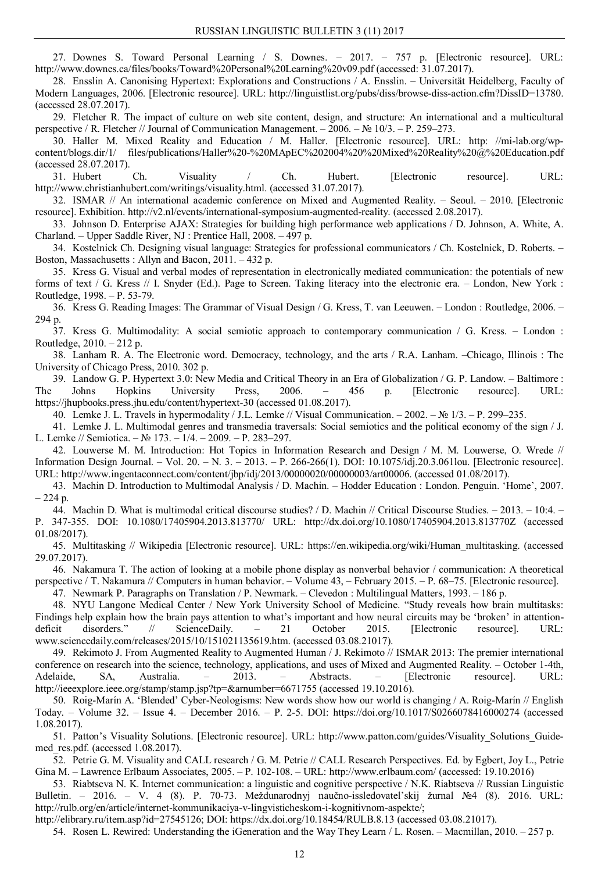27. Downes S. Toward Personal Learning / S. Downes. – 2017. – 757 p. [Electronic resource]. URL: http://www.downes.ca/files/books/Toward%20Personal%20Learning%20v09.pdf (accessed: 31.07.2017).

28. Ensslin A. Canonising Hypertext: Explorations and Constructions / A. Ensslin. – Universität Heidelberg, Faculty of Modern Languages, 2006. [Electronic resource]. URL: http://linguistlist.org/pubs/diss/browse-diss-action.cfm?DissID=13780. (accessed 28.07.2017).

29. Fletcher R. The impact of culture on web site content, design, and structure: An international and a multicultural perspective / R. Fletcher // Journal of Communication Management. – 2006. – № 10/3. – P. 259–273.

30. Haller M. Mixed Reality and Education / M. Haller. [Electronic resource]. URL: http: //mi-lab.org/wpcontent/blogs.dir/1/ files/publications/Haller%20-%20MApEC%202004%20%20Mixed%20Reality%20@%20Education.pdf (accessed 28.07.2017).

31. Hubert Ch. Visuality / Ch. Hubert. [Electronic resource]. URL: http://www.christianhubert.com/writings/visuality.html. (accessed 31.07.2017).

32. ISMAR // An international academic conference on Mixed and Augmented Reality. – Seoul. – 2010. [Electronic resource]. Exhibition. http://v2.nl/events/international-symposium-augmented-reality. (accessed 2.08.2017).

33. Johnson D. Enterprise AJAX: Strategies for building high performance web applications / D. Johnson, A. White, A. Charland. – Upper Saddle River, NJ : Prentice Hall, 2008. – 497 p.

34. Kostelnick Ch. Designing visual language: Strategies for professional communicators / Ch. Kostelnick, D. Roberts. – Boston, Massachusetts : Allyn and Bacon, 2011. – 432 p.

35. Kress G. Visual and verbal modes of representation in electronically mediated communication: the potentials of new forms of text / G. Kress // I. Snyder (Ed.). Page to Screen. Taking literacy into the electronic era. – London, New York : Routledge, 1998. – P. 53-79.

36. Kress G. Reading Images: The Grammar of Visual Design / G. Kress, T. van Leeuwen. – London : Routledge, 2006. – 294 p.

37. Kress G. Multimodality: A social semiotic approach to contemporary communication / G. Kress. – London : Routledge, 2010. – 212 p.

38. Lanham R. A. The Electronic word. Democracy, technology, and the arts / R.A. Lanham. –Chicago, Illinois : The University of Chicago Press, 2010. 302 p.

39. Landow G. P. Hypertext 3.0: New Media and Critical Theory in an Era of Globalization / G. P. Landow. – Baltimore : The Johns Hopkins University Press, 2006. – 456 p. [Electronic resource]. URL: https://jhupbooks.press.jhu.edu/content/hypertext-30 (accessed 01.08.2017).

40. Lemke J. L. Travels in hypermodality / J.L. Lemke // Visual Communication. – 2002. – № 1/3. – P. 299–235.

41. Lemke J. L. Multimodal genres and transmedia traversals: Social semiotics and the political economy of the sign / J. L. Lemke // Semiotica. – № 173. – 1/4. – 2009. – P. 283–297.

42. Louwerse M. M. Introduction: Hot Topics in Information Research and Design / M. M. Louwerse, O. Wrede // Information Design Journal. – Vol. 20. – N. 3. – 2013. – P. 266-266(1). DOI: 10.1075/idj.20.3.061lou. [Electronic resource]. URL: http://www.ingentaconnect.com/content/jbp/idj/2013/00000020/00000003/art00006. (accessed 01.08/2017).

43. Machin D. Introduction to Multimodal Analysis / D. Machin. – Hodder Education : London. Penguin. 'Home', 2007.  $-224$  p.

44. Machin D. What is multimodal critical discourse studies? / D. Machin // Critical Discourse Studies. – 2013. – 10:4. – P. 347-355. DOI: 10.1080/17405904.2013.813770/ URL: http://dx.doi.org/10.1080/17405904.2013.813770Z (accessed 01.08/2017).

45. Multitasking // Wikipedia [Electronic resource]. URL: https://en.wikipedia.org/wiki/Human\_multitasking. (accessed 29.07.2017).

46. Nakamura T. The action of looking at a mobile phone display as nonverbal behavior / communication: A theoretical perspective / T. Nakamura // Computers in human behavior. – Volume 43, – February 2015. – P. 68–75. [Electronic resource]. 47. Newmark Р. Paragraphs on Translation / P. Newmark. – Clevedon : Multilingual Matters, 1993. – 186 p.

48. NYU Langone Medical Center / New York University School of Medicine. "Study reveals how brain multitasks: Findings help explain how the brain pays attention to what's important and how neural circuits may be 'broken' in attention-<br>deficit disorders." // ScienceDaily. - 21 October 2015. [Electronic resource]. URL: deficit disorders." // ScienceDaily. – 21 October 2015. [Electronic resource]. URL: www.sciencedaily.com/releases/2015/10/151021135619.htm. (accessed 03.08.21017).

49. Rekimoto J. From Augmented Reality to Augmented Human / J. Rekimoto // ISMAR 2013: The premier international conference on research into the science, technology, applications, and uses of Mixed and Augmented Reality. – October 1-4th, Adelaide, SA, Australia. – 2013. – Abstracts. – [Electronic resource]. URL: http://ieeexplore.ieee.org/stamp/stamp.isp?tp=&arnumber=6671755 (accessed 19.10.2016).

50. Roig-Marín A. 'Blended' Cyber-Neologisms: New words show how our world is changing / A. Roig-Marín // English Today. – Volume 32. – Issue 4. – December 2016. – P. 2-5. DOI: https://doi.org/10.1017/S0266078416000274 (accessed 1.08.2017).

51. Patton's Visuality Solutions. [Electronic resource]. URL: http://www.patton.com/guides/Visuality\_Solutions\_Guidemed\_res.pdf. (accessed 1.08.2017).

52. Petrie G. M. Visuality and CALL research / G. M. Petrie // CALL Research Perspectives. Ed. by Egbert, Joy L., Petrie Gina M. – Lawrence Erlbaum Associates, 2005. – P. 102-108. – URL: http://www.erlbaum.com/ (accessed: 19.10.2016)

53. Riabtseva N. K. Internet communication: a linguistic and cognitive perspective / N.K. Riabtseva // Russian Linguistic Bulletin. – 2016. – V. 4 (8). Р. 70-73. Meždunarodnyj naučno-issledovatel'skij žurnal №4 (8). 2016. URL: http://rulb.org/en/article/internet-kommunikaciya-v-lingvisticheskom-i-kognitivnom-aspekte/;

http://elibrary.ru/item.asp?id=27545126; DOI: https://dx.doi.org/10.18454/RULB.8.13 (accessed 03.08.21017).

54. Rosen L. Rewired: Understanding the iGeneration and the Way They Learn / L. Rosen. – Macmillan, 2010. – 257 p.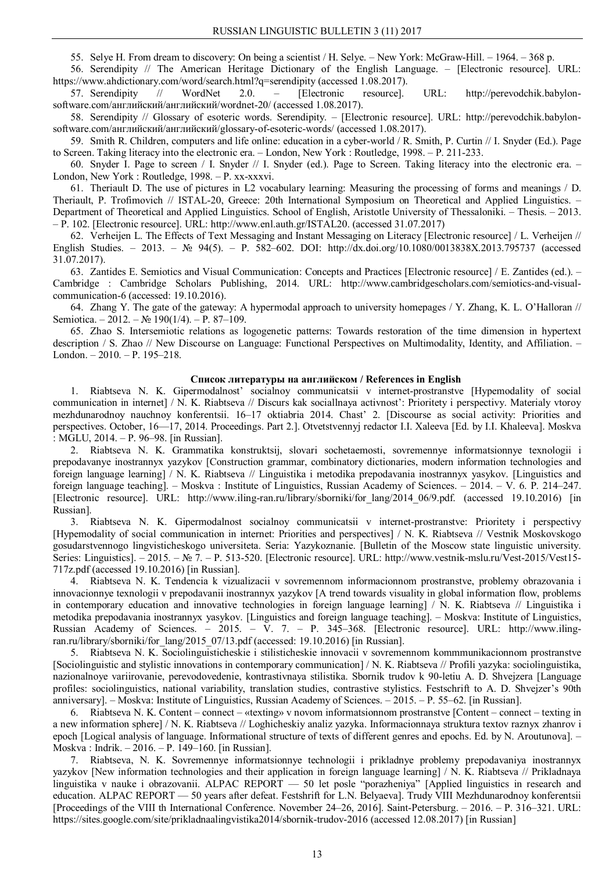55. Selye H. From dream to discovery: On being a scientist / H. Selye. – New York: McGraw-Hill. – 1964. – 368 p.

56. Serendipity // The American Heritage Dictionary of the English Language. – [Electronic resource]. URL: https://www.ahdictionary.com/word/search.html?q=serendipity (accessed 1.08.2017).

57. Serendipity // WordNet 2.0. – [Electronic resource]. URL: http://perevodchik.babylonsoftware.com/английский/английский/wordnet-20/ (accessed 1.08.2017).

58. Serendipity // Glossary of esoteric words. Serendipity. – [Electronic resource]. URL: http://perevodchik.babylonsoftware.com/английский/английский/glossary-of-esoteric-words/ (accessed 1.08.2017).

59. Smith R. Children, computers and life online: education in a cyber-world / R. Smith, P. Curtin // I. Snyder (Ed.). Page to Screen. Taking literacy into the electronic era. – London, New York : Routledge, 1998. – P. 211-233.

60. Snyder I. Page to screen / I. Snyder // I. Snyder (еd.). Page to Screen. Taking literacy into the electronic era. – London, New York : Routledge, 1998. – P. xx-xxxvi.

61. Theriault D. The use of pictures in L2 vocabulary learning: Measuring the processing of forms and meanings / D. Theriault, P. Trofimovich // ISTAL-20, Greece: 20th International Symposium on Theoretical and Applied Linguistics. – Department of Theoretical and Applied Linguistics. School of English, Aristotle University of Thessaloniki. – Thesis. – 2013. – P. 102. [Electronic resource]. URL: http://www.enl.auth.gr/ISTAL20. (accessed 31.07.2017)

62. Verheijen L. The Effects of Text Messaging and Instant Messaging on Literacy [Electronic resource] / L. Verheijen // English Studies. – 2013. – № 94(5). – Р. 582–602. DOI: http://dx.doi.org/10.1080/0013838X.2013.795737 (accessed 31.07.2017).

63. Zantides E. Semiotics and Visual Communication: Concepts and Practices [Electronic resource] / E. Zantides (ed.). – Cambridge : Cambridge Scholars Publishing, 2014. URL: http://www.cambridgescholars.com/semiotics-and-visualcommunication-6 (accessed: 19.10.2016).

64. Zhang Y. The gate of the gateway: A hypermodal approach to university homepages / Y. Zhang, K. L. O'Halloran // Semiotica. – 2012. – № 190(1/4). – P. 87–109.

65. Zhao S. Intersemiotic relations as logogenetic patterns: Towards restoration of the time dimension in hypertext description / S. Zhao // New Discourse on Language: Functional Perspectives on Multimodality, Identity, and Affiliation. – London. – 2010. – P. 195–218.

### **Список литературы на английском / References in English**

1. Riabtseva N. K. Gipermodalnost' socialnoy communicatsii v internet-prostranstve [Hypemodality of social communication in internet] / N. K. Riabtseva // Discurs kak sociallnaya activnost': Prioritety i perspectivy. Materialy vtoroy mezhdunarodnoy nauchnoy konferentsii. 16–17 oktiabria 2014. Chast' 2. [Discourse as social activity: Priorities and perspectives. October, 16—17, 2014. Proceedings. Part 2.]. Otvetstvennyj redactor I.I. Xaleeva [Ed. by I.I. Khaleeva]. Moskva : MGLU, 2014. – P. 96–98. [in Russian].

2. Riabtseva N. K. Grammatika konstruktsij, slovari sochetaemosti, sovremennye informatsionnye texnologii i prepodavanye inostrannyx yazykov [Construction grammar, combinatory dictionaries, modern information technologies and foreign language learning] / N. K. Riabtseva // Linguistika i metodika prepodavania inostrannyx yasykov. [Linguistics and foreign language teaching]. – Moskva : Institute of Linguistics, Russian Academy of Sciences. – 2014. – V. 6. P. 214–247. [Electronic resource]. URL: http://www.iling-ran.ru/library/sborniki/for lang/2014 06/9.pdf. (accessed 19.10.2016) [in Russian].

3. Riabtseva N. K. Gipermodalnost socialnoy communicatsii v internet-prostranstve: Prioritety i perspectivy [Hypemodality of social communication in internet: Priorities and perspectives] / N. K. Riabtseva // Vestnik Moskovskogo gosudarstvennogo lingvisticheskogo universiteta. Seria: Yazykoznanie. [Bulletin of the Moscow state linguistic university. Series: Linguistics]. – 2015. – № 7. – P. 513-520. [Electronic resource]. URL: http://www.vestnik-mslu.ru/Vest-2015/Vest15- 717z.pdf (accessed 19.10.2016) [in Russian].

4. Riabtseva N. K. Tendencia k vizualizacii v sovremennom informacionnom prostranstve, problemy obrazovania i innovacionnye texnologii v prepodavanii inostrannyx yazykov [A trend towards visuality in global information flow, problems in contemporary education and innovative technologies in foreign language learning] / N. K. Riabtseva // Linguistika i metodika prepodavania inostrannyx yasykov. [Linguistics and foreign language teaching]. – Moskva: Institute of Linguistics, Russian Academy of Sciences. – 2015. – V. 7. – P. 345–368. [Electronic resource]. URL: http://www.ilingran.ru/library/sborniki/for\_lang/2015\_07/13.pdf (accessed: 19.10.2016) [in Russian].

5. Riabtseva N. K. Sociolinguisticheskie i stilisticheskie innovacii v sovremennom kommmunikacionnom prostranstve [Sociolinguistic and stylistic innovations in contemporary communication] / N. K. Riabtseva // Profili yazyka: sociolinguistika, nazionalnoye variirovanie, perevodovedenie, kontrastivnaya stilistika. Sbornik trudov k 90-letiu A. D. Shvejzera [Language profiles: sociolinguistics, national variability, translation studies, contrastive stylistics. Festschrift to A. D. Shvejzer's 90th anniversary]. – Moskva: Institute of Linguistics, Russian Academy of Sciences. – 2015. – P. 55–62. [in Russian].

6. Riabtseva N. K. Content – connect – «texting» v novom informatsionnom prostranstve [Content – connect – texting in a new information sphere] / N. K. Riabtseva // Loghicheskiy analiz yazyka. Informacionnaya struktura textov raznyx zhanrov i epoch [Logical analysis of language. Informational structure of texts of different genres and epochs. Ed. by N. Aroutunova]. – Moskva : Indrik. – 2016. – P. 149–160. [in Russian].

7. Riabtseva, N. K. Sovremennye informatsionnye technologii i prikladnye problemy prepodavaniya inostrannyx yazykov [New information technologies and their application in foreign language learning] / N. K. Riabtseva // Prikladnaya linguistika v nauke i obrazovanii. ALPAC REPORT — 50 let posle "porazheniya" [Applied linguistics in research and education. ALPAC REPORT — 50 years after defeat. Festshrift for L.N. Belyaeva]. Trudy VIII Mezhdunarodnoy konferentsii [Proceedings of the VIII th International Conference. November 24–26, 2016]. Saint-Petersburg. – 2016. – P. 316–321. URL: https://sites.google.com/site/prikladnaalingvistika2014/sbornik-trudov-2016 (accessed 12.08.2017) [in Russian]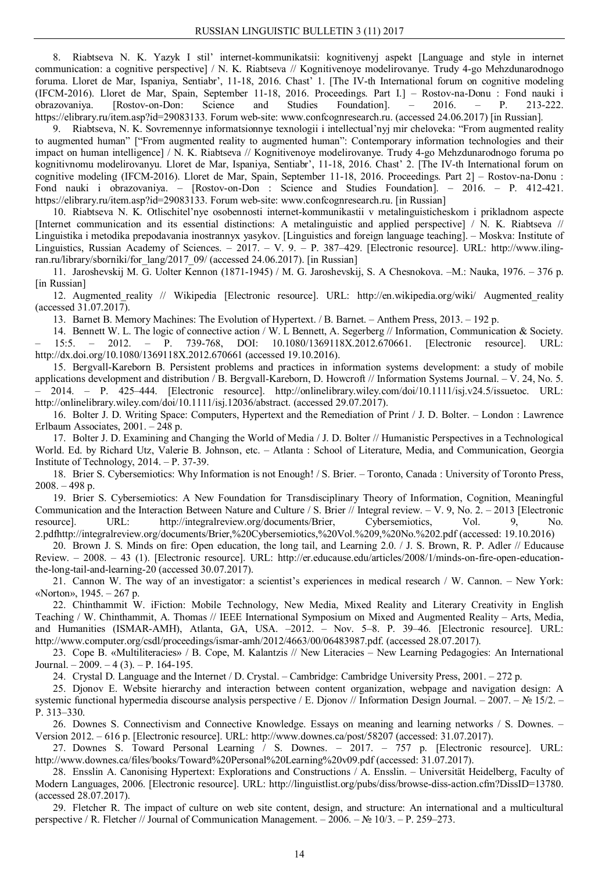8. Riabtseva N. K. Yazyk I stil' internet-kommunikatsii: kognitivenyj aspekt [Language and style in internet communication: a cognitive perspective] / N. K. Riabtseva // Kognitivenoye modelirovanye. Trudy 4-go Mehzdunarodnogo foruma. Lloret de Mar, Ispaniya, Sentiabr', 11-18, 2016. Chast' 1. [The IV-th International forum on cognitive modeling (IFCM-2016). Lloret de Mar, Spain, September 11-18, 2016. Proceedings. Part I.] – Rostov-na-Donu : Fond nauki i obrazovaniya. [Rostov-on-Don: Science and Studies Foundation]. – 2016. – P. 213-222. https://elibrary.ru/item.asp?id=29083133. Forum web-site: www.confcognresearch.ru. (accessed 24.06.2017) [in Russian].

9. Riabtseva, N. K. Sovremennye informatsionnye texnologii i intellectual'nyj mir cheloveka: "From augmented reality to augmented human" ["From augmented reality to augmented human": Сontemporary information technologies and their impact on human intelligence] / N. K. Riabtseva // Kognitivenoye modelirovanye. Trudy 4-go Mehzdunarodnogo foruma po kognitivnomu modelirovanyu. Lloret de Mar, Ispaniya, Sentiabr', 11-18, 2016. Chast' 2. [The IV-th International forum on cognitive modeling (IFCM-2016). Lloret de Mar, Spain, September 11-18, 2016. Proceedings. Part 2] – Rostov-na-Donu : Fond nauki i obrazovaniya. – [Rostov-on-Don : Science and Studies Foundation]. – 2016. – P. 412-421. https://elibrary.ru/item.asp?id=29083133. Forum web-site: www.confcognresearch.ru. [in Russian]

10. Riabtseva N. K. Otlischitel'nye osobennosti internet-kommunikastii v metalinguisticheskom i prikladnom aspecte [Internet communication and its essential distinctions: A metalinguistic and applied perspective] / N. K. Riabtseva // Linguistika i metodika prepodavania inostrannyx yasykov. [Linguistics and foreign language teaching]. – Moskva: Institute of Linguistics, Russian Academy of Sciences. – 2017. – V. 9. – P. 387–429. [Electronic resource]. URL: http://www.ilingran.ru/library/sborniki/for\_lang/2017\_09/ (accessed 24.06.2017). [in Russian]

11. Jaroshevskij M. G. Uolter Kennon (1871-1945) / M. G. Jaroshevskij, S. A Chesnokova. –M.: Nauka, 1976. – 376 p. [in Russian]

12. Augmented reality // Wikipedia [Electronic resource]. URL: http://en.wikipedia.org/wiki/ Augmented reality (accessed 31.07.2017).

13. Barnet B. Memory Machines: The Evolution of Hypertext. / B. Barnet. – Anthem Press, 2013. – 192 p.

14. Bennett W. L. The logic of connective action / W. L Bennett, A. Segerberg // Information, Communication & Society. – 15:5. – 2012. – P. 739-768, DOI: 10.1080/1369118X.2012.670661. [Electronic resource]. URL: http://dx.doi.org/10.1080/1369118X.2012.670661 (accessed 19.10.2016).

15. Bergvall-Kareborn B. Persistent problems and practices in information systems development: a study of mobile applications development and distribution / B. Bergvall-Kareborn, D. Howcroft // Information Systems Journal. – V. 24, No. 5. – 2014. – P. 425–444. [Electronic resource]. http://onlinelibrary.wiley.com/doi/10.1111/isj.v24.5/issuetoc. URL: http://onlinelibrary.wiley.com/doi/10.1111/isj.12036/abstract. (accessed 29.07.2017).

16. Bolter J. D. Writing Space: Computers, Hypertext and the Remediation of Print / J. D. Bolter. – London : Lawrence Erlbaum Associates, 2001. – 248 p.

17. Bolter J. D. Examining and Changing the World of Media / J. D. Bolter // Humanistic Perspectives in a Technological World. Ed. by Richard Utz, Valerie B. Johnson, etc. – Atlanta : School of Literature, Media, and Communication, Georgia Institute of Technology, 2014. – P. 37-39.

18. Brier S. Cybersemiotics: Why Information is not Enough! / S. Brier. – Toronto, Canada : University of Toronto Press,  $2008. - 498$  p.

19. Brier S. Cybersemiotics: A New Foundation for Transdisciplinary Theory of Information, Cognition, Meaningful Communication and the Interaction Between Nature and Culture / S. Brier // Integral review. – V. 9, No. 2. – 2013 [Electronic resource]. URL: http://integralreview.org/documents/Brier, Cybersemiotics, Vol. 9, No. 2.pdfhttp://integralreview.org/documents/Brier,%20Cybersemiotics,%20Vol.%209,%20No.%202.pdf (accessed: 19.10.2016)

20. Brown J. S. Minds on fire: Open education, the long tail, and Learning 2.0. / J. S. Brown, R. P. Adler // Educause Review. – 2008. – 43 (1). [Electronic resource]. URL: http://er.educause.edu/articles/2008/1/minds-on-fire-open-educationthe-long-tail-and-learning-20 (accessed 30.07.2017).

21. Cannon W. The way of an investigator: a scientist's experiences in medical research / W. Cannon. – New York: «Norton», 1945. – 267 p.

22. Chinthammit W. iFiction: Mobile Technology, New Media, Mixed Reality and Literary Creativity in English Teaching / W. Chinthammit, A. Thomas // IEEE International Symposium on Mixed and Augmented Reality – Arts, Media, and Humanities (ISMAR-AMH), Atlanta, GA, USA. –2012. – Nov. 5–8. P. 39–46. [Electronic resource]. URL: http://www.computer.org/csdl/proceedings/ismar-amh/2012/4663/00/06483987.pdf. (accessed 28.07.2017).

23. Cope B. «Multiliteracies» / B. Cope, M. Kalantzis // New Literacies – New Learning Pedagogies: An International Journal.  $-2009$ .  $-4(3)$ .  $-$  P. 164-195.

24. Crystal D. Language and the Internet / D. Crystal. – Cambridge: Cambridge University Press, 2001. – 272 p.

25. Djonov E. Website hierarchy and interaction between content organization, webpage and navigation design: A systemic functional hypermedia discourse analysis perspective / E. Djonov // Information Design Journal. – 2007. – № 15/2. – P. 313–330.

26. Downes S. Connectivism and Connective Knowledge. Essays on meaning and learning networks / S. Downes. – Version 2012. – 616 p. [Electronic resource]. URL: http://www.downes.ca/post/58207 (accessed: 31.07.2017).

27. Downes S. Toward Personal Learning / S. Downes. – 2017. – 757 p. [Electronic resource]. URL: http://www.downes.ca/files/books/Toward%20Personal%20Learning%20v09.pdf (accessed: 31.07.2017).

28. Ensslin A. Canonising Hypertext: Explorations and Constructions / A. Ensslin. – Universität Heidelberg, Faculty of Modern Languages, 2006. [Electronic resource]. URL: http://linguistlist.org/pubs/diss/browse-diss-action.cfm?DissID=13780. (accessed 28.07.2017).

29. Fletcher R. The impact of culture on web site content, design, and structure: An international and a multicultural perspective / R. Fletcher // Journal of Communication Management. – 2006. – № 10/3. – P. 259–273.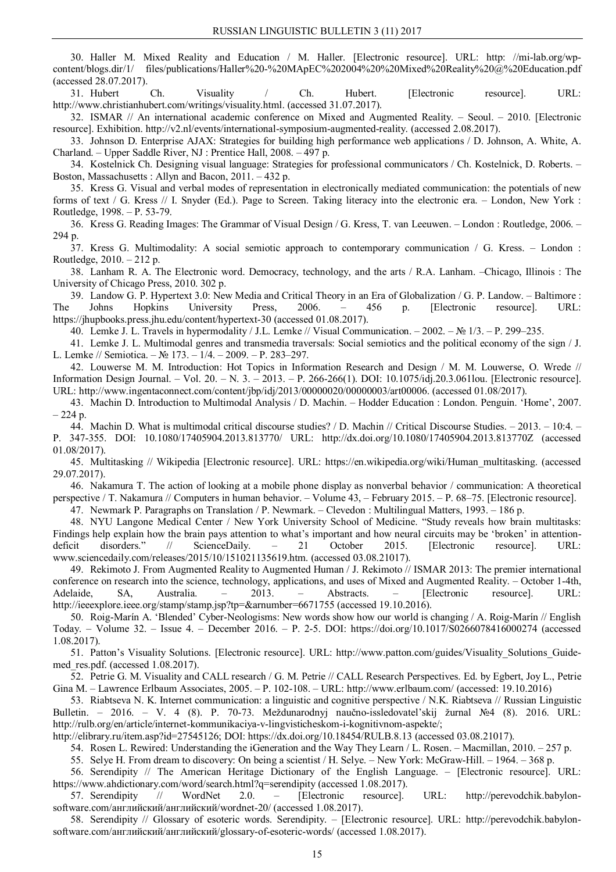30. Haller M. Mixed Reality and Education / M. Haller. [Electronic resource]. URL: http: //mi-lab.org/wpcontent/blogs.dir/1/ files/publications/Haller%20-%20MApEC%202004%20%20Mixed%20Reality%20@%20Education.pdf (accessed 28.07.2017).

31. Hubert Ch. Visuality / Ch. Hubert. [Electronic resource]. URL: http://www.christianhubert.com/writings/visuality.html. (accessed 31.07.2017).

32. ISMAR // An international academic conference on Mixed and Augmented Reality. – Seoul. – 2010. [Electronic resource]. Exhibition. http://v2.nl/events/international-symposium-augmented-reality. (accessed 2.08.2017).

33. Johnson D. Enterprise AJAX: Strategies for building high performance web applications / D. Johnson, A. White, A. Charland. – Upper Saddle River, NJ : Prentice Hall, 2008. – 497 p.

34. Kostelnick Ch. Designing visual language: Strategies for professional communicators / Ch. Kostelnick, D. Roberts. – Boston, Massachusetts : Allyn and Bacon, 2011. – 432 p.

35. Kress G. Visual and verbal modes of representation in electronically mediated communication: the potentials of new forms of text / G. Kress // I. Snyder (Ed.). Page to Screen. Taking literacy into the electronic era. – London, New York : Routledge, 1998. – P. 53-79.

36. Kress G. Reading Images: The Grammar of Visual Design / G. Kress, T. van Leeuwen. – London : Routledge, 2006. – 294 p.

37. Kress G. Multimodality: A social semiotic approach to contemporary communication / G. Kress. – London : Routledge, 2010. – 212 p.

38. Lanham R. A. The Electronic word. Democracy, technology, and the arts / R.A. Lanham. –Chicago, Illinois : The University of Chicago Press, 2010. 302 p.

39. Landow G. P. Hypertext 3.0: New Media and Critical Theory in an Era of Globalization / G. P. Landow. – Baltimore : The Johns Hopkins University Press, 2006. – 456 p. [Electronic resource]. URL: https://jhupbooks.press.jhu.edu/content/hypertext-30 (accessed 01.08.2017).

40. Lemke J. L. Travels in hypermodality / J.L. Lemke // Visual Communication.  $-2002$ .  $-\mathbb{N}$  1/3.  $-\mathbb{P}$ . 299–235.

41. Lemke J. L. Multimodal genres and transmedia traversals: Social semiotics and the political economy of the sign / J. L. Lemke // Semiotica. – № 173. – 1/4. – 2009. – P. 283–297.

42. Louwerse M. M. Introduction: Hot Topics in Information Research and Design / M. M. Louwerse, O. Wrede // Information Design Journal. – Vol. 20. – N. 3. – 2013. – P. 266-266(1). DOI: 10.1075/idj.20.3.061lou. [Electronic resource]. URL: http://www.ingentaconnect.com/content/jbp/idj/2013/00000020/00000003/art00006. (accessed 01.08/2017).

43. Machin D. Introduction to Multimodal Analysis / D. Machin. – Hodder Education : London. Penguin. 'Home', 2007.  $-224p$ .

44. Machin D. What is multimodal critical discourse studies? / D. Machin // Critical Discourse Studies. – 2013. – 10:4. –

P. 347-355. DOI: 10.1080/17405904.2013.813770/ URL: http://dx.doi.org/10.1080/17405904.2013.813770Z (accessed 01.08/2017).

45. Multitasking // Wikipedia [Electronic resource]. URL: https://en.wikipedia.org/wiki/Human\_multitasking. (accessed 29.07.2017).

46. Nakamura T. The action of looking at a mobile phone display as nonverbal behavior / communication: A theoretical perspective / T. Nakamura // Computers in human behavior. – Volume 43, – February 2015. – P. 68–75. [Electronic resource].

47. Newmark Р. Paragraphs on Translation / P. Newmark. – Clevedon : Multilingual Matters, 1993. – 186 p.

48. NYU Langone Medical Center / New York University School of Medicine. "Study reveals how brain multitasks: Findings help explain how the brain pays attention to what's important and how neural circuits may be 'broken' in attentiondeficit disorders." // ScienceDaily. – 21 October 2015. [Electronic resource]. URL: www.sciencedaily.com/releases/2015/10/151021135619.htm. (accessed 03.08.21017).

49. Rekimoto J. From Augmented Reality to Augmented Human / J. Rekimoto // ISMAR 2013: The premier international conference on research into the science, technology, applications, and uses of Mixed and Augmented Reality. – October 1-4th, Adelaide, SA, Australia. – 2013. – Abstracts. – [Electronic resource]. URL: http://ieeexplore.ieee.org/stamp/stamp.jsp?tp=&arnumber=6671755 (accessed 19.10.2016).

50. Roig-Marín A. 'Blended' Cyber-Neologisms: New words show how our world is changing / A. Roig-Marín // English Today. – Volume 32. – Issue 4. – December 2016. – P. 2-5. DOI: https://doi.org/10.1017/S0266078416000274 (accessed 1.08.2017).

51. Patton's Visuality Solutions. [Electronic resource]. URL: http://www.patton.com/guides/Visuality\_Solutions\_Guidemed\_res.pdf. (accessed 1.08.2017).

52. Petrie G. M. Visuality and CALL research / G. M. Petrie // CALL Research Perspectives. Ed. by Egbert, Joy L., Petrie Gina M. – Lawrence Erlbaum Associates, 2005. – P. 102-108. – URL: http://www.erlbaum.com/ (accessed: 19.10.2016)

53. Riabtseva N. K. Internet communication: a linguistic and cognitive perspective / N.K. Riabtseva // Russian Linguistic Bulletin. – 2016. – V. 4 (8). Р. 70-73. Meždunarodnyj naučno-issledovatel'skij žurnal №4 (8). 2016. URL: http://rulb.org/en/article/internet-kommunikaciya-v-lingvisticheskom-i-kognitivnom-aspekte/;

http://elibrary.ru/item.asp?id=27545126; DOI: https://dx.doi.org/10.18454/RULB.8.13 (accessed 03.08.21017).

54. Rosen L. Rewired: Understanding the iGeneration and the Way They Learn / L. Rosen. – Macmillan, 2010. – 257 p.

55. Selye H. From dream to discovery: On being a scientist / H. Selye. – New York: McGraw-Hill. – 1964. – 368 p.

56. Serendipity // The American Heritage Dictionary of the English Language. – [Electronic resource]. URL: https://www.ahdictionary.com/word/search.html?q=serendipity (accessed 1.08.2017).

57. Serendipity // WordNet 2.0. – [Electronic resource]. URL: http://perevodchik.babylonsoftware.com/английский/английский/wordnet-20/ (accessed 1.08.2017).

58. Serendipity // Glossary of esoteric words. Serendipity. – [Electronic resource]. URL: http://perevodchik.babylonsoftware.com/английский/английский/glossary-of-esoteric-words/ (accessed 1.08.2017).